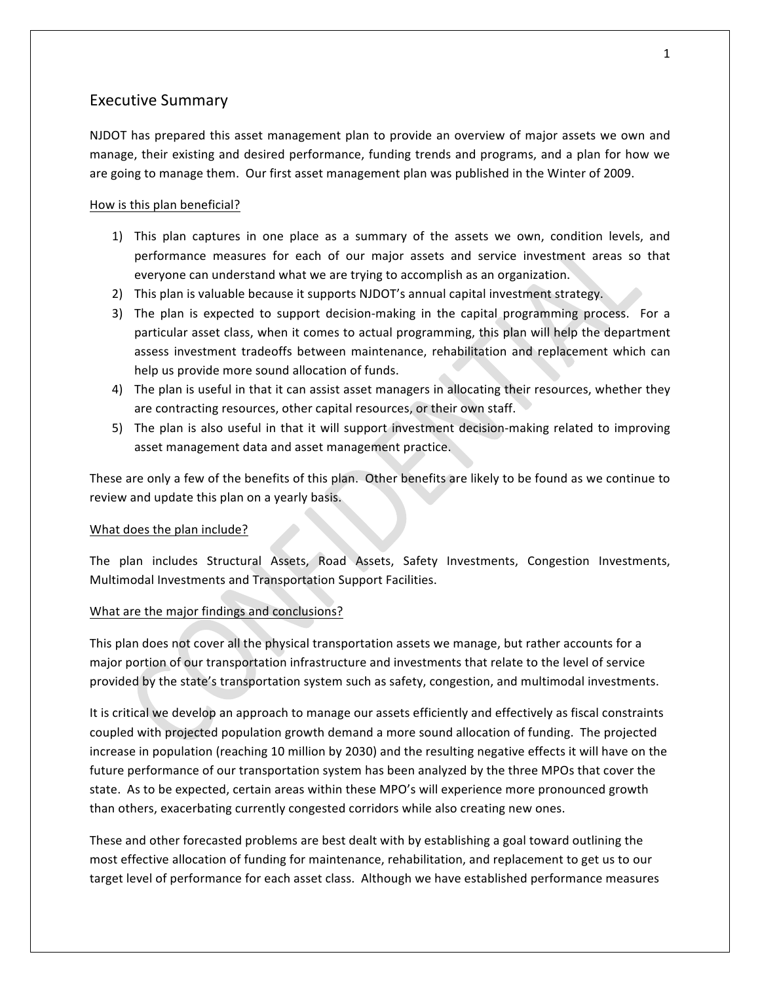## **Executive Summary**

NJDOT has prepared this asset management plan to provide an overview of major assets we own and manage, their existing and desired performance, funding trends and programs, and a plan for how we are going to manage them. Our first asset management plan was published in the Winter of 2009.

### How is this plan beneficial?

- 1) This plan captures in one place as a summary of the assets we own, condition levels, and performance measures for each of our major assets and service investment areas so that everyone can understand what we are trying to accomplish as an organization.
- 2) This plan is valuable because it supports NJDOT's annual capital investment strategy.
- 3) The plan is expected to support decision-making in the capital programming process. For a particular asset class, when it comes to actual programming, this plan will help the department assess investment tradeoffs between maintenance, rehabilitation and replacement which can help us provide more sound allocation of funds.
- 4) The plan is useful in that it can assist asset managers in allocating their resources, whether they are contracting resources, other capital resources, or their own staff.
- 5) The plan is also useful in that it will support investment decision-making related to improving asset management data and asset management practice.

These are only a few of the benefits of this plan. Other benefits are likely to be found as we continue to review and update this plan on a yearly basis.

### What does the plan include?

The plan includes Structural Assets, Road Assets, Safety Investments, Congestion Investments, Multimodal Investments and Transportation Support Facilities.

### What are the major findings and conclusions?

This plan does not cover all the physical transportation assets we manage, but rather accounts for a major portion of our transportation infrastructure and investments that relate to the level of service provided by the state's transportation system such as safety, congestion, and multimodal investments.

It is critical we develop an approach to manage our assets efficiently and effectively as fiscal constraints coupled with projected population growth demand a more sound allocation of funding. The projected increase in population (reaching 10 million by 2030) and the resulting negative effects it will have on the future performance of our transportation system has been analyzed by the three MPOs that cover the state. As to be expected, certain areas within these MPO's will experience more pronounced growth than others, exacerbating currently congested corridors while also creating new ones.

These and other forecasted problems are best dealt with by establishing a goal toward outlining the most effective allocation of funding for maintenance, rehabilitation, and replacement to get us to our target level of performance for each asset class. Although we have established performance measures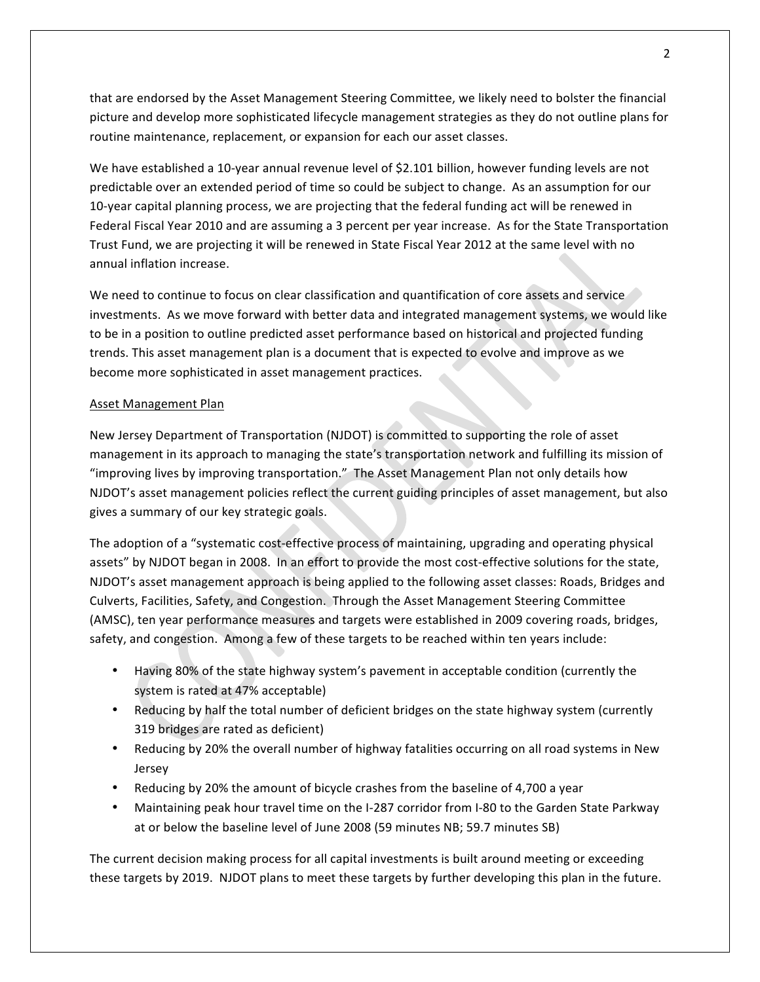that are endorsed by the Asset Management Steering Committee, we likely need to bolster the financial picture and develop more sophisticated lifecycle management strategies as they do not outline plans for routine maintenance, replacement, or expansion for each our asset classes.

We have established a 10-year annual revenue level of \$2.101 billion, however funding levels are not predictable over an extended period of time so could be subject to change. As an assumption for our 10-year capital planning process, we are projecting that the federal funding act will be renewed in Federal Fiscal Year 2010 and are assuming a 3 percent per year increase. As for the State Transportation Trust Fund, we are projecting it will be renewed in State Fiscal Year 2012 at the same level with no annual inflation increase.

We need to continue to focus on clear classification and quantification of core assets and service investments. As we move forward with better data and integrated management systems, we would like to be in a position to outline predicted asset performance based on historical and projected funding trends. This asset management plan is a document that is expected to evolve and improve as we become more sophisticated in asset management practices.

### Asset Management Plan

New Jersey Department of Transportation (NJDOT) is committed to supporting the role of asset management in its approach to managing the state's transportation network and fulfilling its mission of "improving lives by improving transportation." The Asset Management Plan not only details how NJDOT's asset management policies reflect the current guiding principles of asset management, but also gives a summary of our key strategic goals.

The adoption of a "systematic cost-effective process of maintaining, upgrading and operating physical assets" by NJDOT began in 2008. In an effort to provide the most cost-effective solutions for the state, NJDOT's asset management approach is being applied to the following asset classes: Roads, Bridges and Culverts, Facilities, Safety, and Congestion. Through the Asset Management Steering Committee (AMSC), ten year performance measures and targets were established in 2009 covering roads, bridges, safety, and congestion. Among a few of these targets to be reached within ten years include:

- Having 80% of the state highway system's pavement in acceptable condition (currently the system is rated at 47% acceptable)
- Reducing by half the total number of deficient bridges on the state highway system (currently 319 bridges are rated as deficient)
- Reducing by 20% the overall number of highway fatalities occurring on all road systems in New Jersey
- Reducing by 20% the amount of bicycle crashes from the baseline of 4,700 a year
- Maintaining peak hour travel time on the I-287 corridor from I-80 to the Garden State Parkway at or below the baseline level of June 2008 (59 minutes NB; 59.7 minutes SB)

The current decision making process for all capital investments is built around meeting or exceeding these targets by 2019. NJDOT plans to meet these targets by further developing this plan in the future.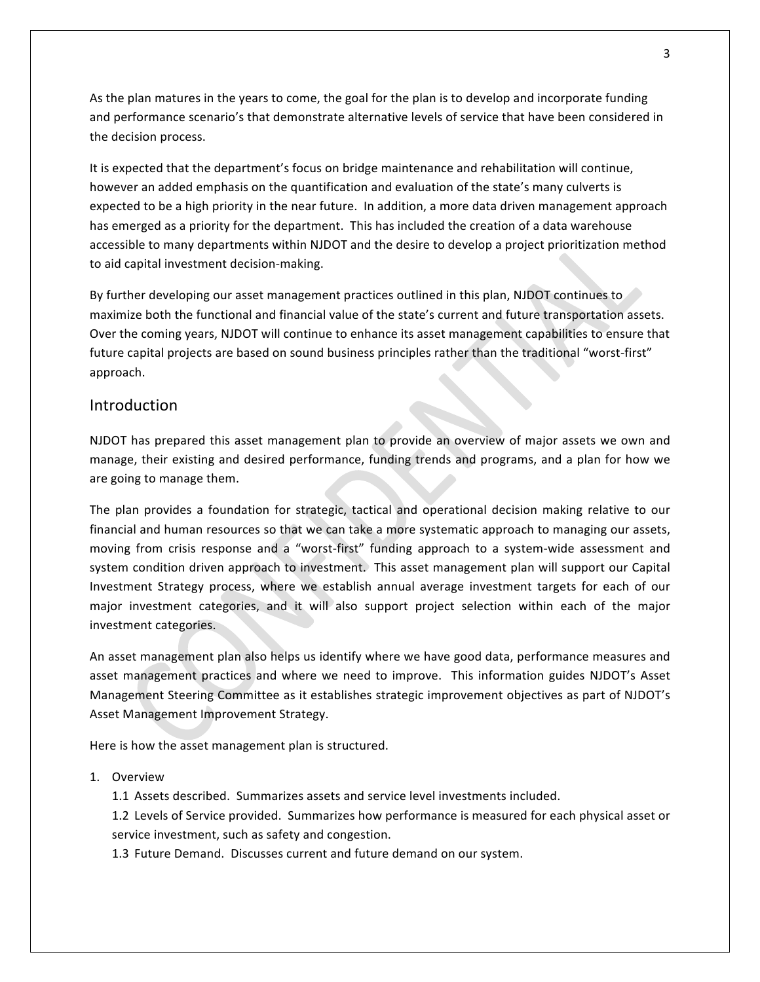As the plan matures in the years to come, the goal for the plan is to develop and incorporate funding and performance scenario's that demonstrate alternative levels of service that have been considered in the decision process.

It is expected that the department's focus on bridge maintenance and rehabilitation will continue, however an added emphasis on the quantification and evaluation of the state's many culverts is expected to be a high priority in the near future. In addition, a more data driven management approach has emerged as a priority for the department. This has included the creation of a data warehouse accessible to many departments within NJDOT and the desire to develop a project prioritization method to aid capital investment decision-making.

By further developing our asset management practices outlined in this plan, NJDOT continues to maximize both the functional and financial value of the state's current and future transportation assets. Over the coming years, NJDOT will continue to enhance its asset management capabilities to ensure that future capital projects are based on sound business principles rather than the traditional "worst-first" approach.

# **Introduction**

NJDOT has prepared this asset management plan to provide an overview of major assets we own and manage, their existing and desired performance, funding trends and programs, and a plan for how we are going to manage them.

The plan provides a foundation for strategic, tactical and operational decision making relative to our financial and human resources so that we can take a more systematic approach to managing our assets, moving from crisis response and a "worst-first" funding approach to a system-wide assessment and system condition driven approach to investment. This asset management plan will support our Capital Investment Strategy process, where we establish annual average investment targets for each of our major investment categories, and it will also support project selection within each of the major investment categories.

An asset management plan also helps us identify where we have good data, performance measures and asset management practices and where we need to improve. This information guides NJDOT's Asset Management Steering Committee as it establishes strategic improvement objectives as part of NJDOT's Asset Management Improvement Strategy.

Here is how the asset management plan is structured.

### 1. Overview

1.1 Assets described. Summarizes assets and service level investments included.

1.2 Levels of Service provided. Summarizes how performance is measured for each physical asset or service investment, such as safety and congestion.

1.3 Future Demand. Discusses current and future demand on our system.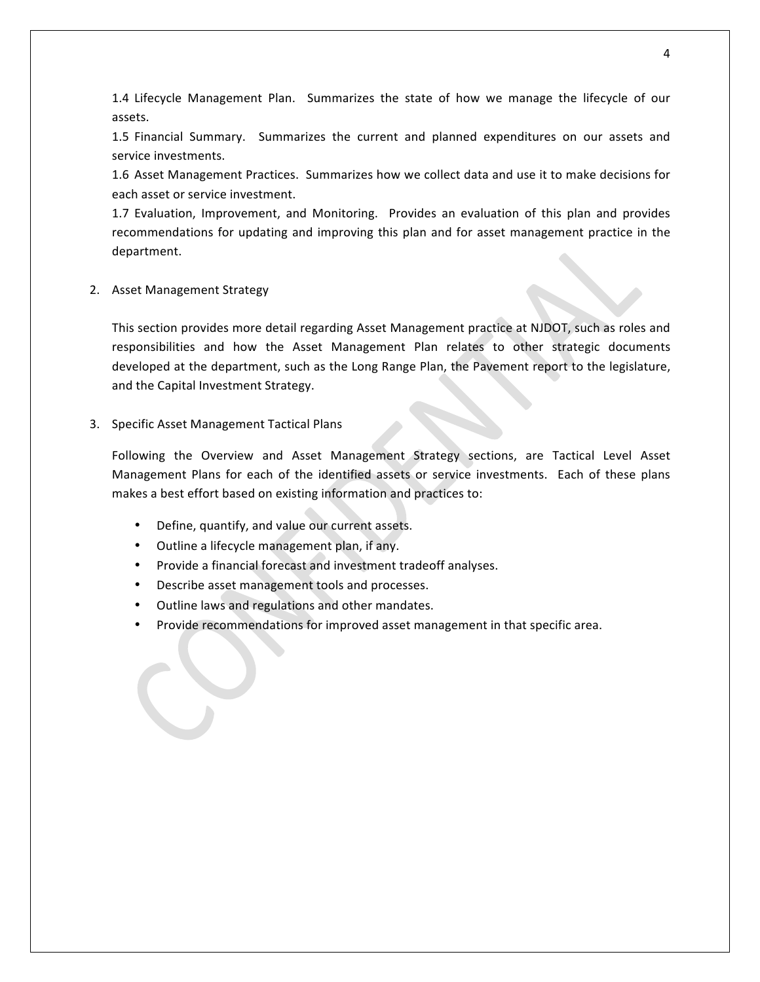1.4 Lifecycle Management Plan. Summarizes the state of how we manage the lifecycle of our assets.

1.5 Financial Summary. Summarizes the current and planned expenditures on our assets and service investments.

1.6 Asset Management Practices. Summarizes how we collect data and use it to make decisions for each asset or service investment.

1.7 Evaluation, Improvement, and Monitoring. Provides an evaluation of this plan and provides recommendations for updating and improving this plan and for asset management practice in the department.

2. Asset Management Strategy

This section provides more detail regarding Asset Management practice at NJDOT, such as roles and responsibilities and how the Asset Management Plan relates to other strategic documents developed at the department, such as the Long Range Plan, the Pavement report to the legislature, and the Capital Investment Strategy.

3. Specific Asset Management Tactical Plans

Following the Overview and Asset Management Strategy sections, are Tactical Level Asset Management Plans for each of the identified assets or service investments. Each of these plans makes a best effort based on existing information and practices to:

- Define, quantify, and value our current assets.
- Outline a lifecycle management plan, if any.
- Provide a financial forecast and investment tradeoff analyses.
- Describe asset management tools and processes.
- Outline laws and regulations and other mandates.
- Provide recommendations for improved asset management in that specific area.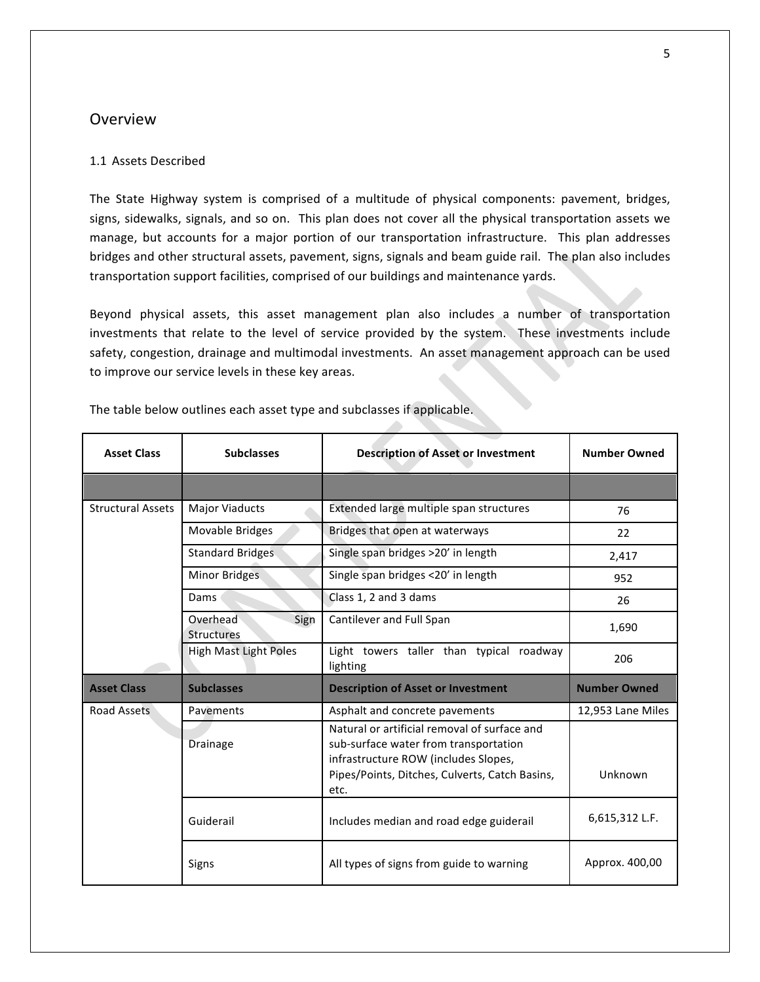## Overview

#### 1.1 Assets Described

The State Highway system is comprised of a multitude of physical components: pavement, bridges, signs, sidewalks, signals, and so on. This plan does not cover all the physical transportation assets we manage, but accounts for a major portion of our transportation infrastructure. This plan addresses bridges and other structural assets, pavement, signs, signals and beam guide rail. The plan also includes transportation support facilities, comprised of our buildings and maintenance yards.

Beyond physical assets, this asset management plan also includes a number of transportation investments that relate to the level of service provided by the system. These investments include safety, congestion, drainage and multimodal investments. An asset management approach can be used to improve our service levels in these key areas.

| <b>Asset Class</b>       | <b>Subclasses</b>                     | <b>Description of Asset or Investment</b>                                                                                                                                               | <b>Number Owned</b> |
|--------------------------|---------------------------------------|-----------------------------------------------------------------------------------------------------------------------------------------------------------------------------------------|---------------------|
|                          |                                       |                                                                                                                                                                                         |                     |
| <b>Structural Assets</b> | <b>Major Viaducts</b>                 | Extended large multiple span structures                                                                                                                                                 | 76                  |
|                          | Movable Bridges                       | Bridges that open at waterways                                                                                                                                                          | 22                  |
|                          | <b>Standard Bridges</b>               | Single span bridges >20' in length                                                                                                                                                      | 2,417               |
|                          | Minor Bridges                         | Single span bridges <20' in length                                                                                                                                                      | 952                 |
|                          | Dams                                  | Class 1, 2 and 3 dams                                                                                                                                                                   | 26                  |
|                          | Overhead<br>Sign<br><b>Structures</b> | Cantilever and Full Span                                                                                                                                                                | 1,690               |
|                          | High Mast Light Poles                 | Light towers taller than typical<br>roadway<br>lighting                                                                                                                                 | 206                 |
| <b>Asset Class</b>       | <b>Subclasses</b>                     | <b>Description of Asset or Investment</b>                                                                                                                                               | <b>Number Owned</b> |
| <b>Road Assets</b>       | Pavements                             | Asphalt and concrete pavements                                                                                                                                                          | 12,953 Lane Miles   |
|                          | Drainage                              | Natural or artificial removal of surface and<br>sub-surface water from transportation<br>infrastructure ROW (includes Slopes,<br>Pipes/Points, Ditches, Culverts, Catch Basins,<br>etc. | Unknown             |
|                          | Guiderail                             | Includes median and road edge guiderail                                                                                                                                                 | 6,615,312 L.F.      |
|                          | Signs                                 | All types of signs from guide to warning                                                                                                                                                | Approx. 400,00      |

The table below outlines each asset type and subclasses if applicable.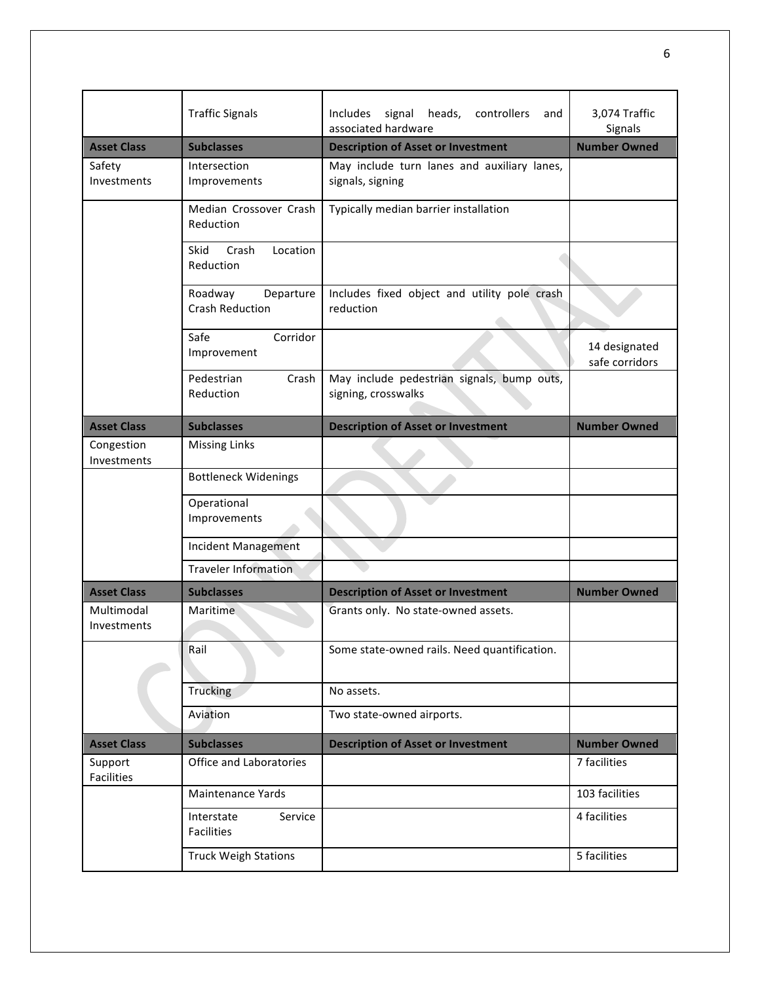|                           | <b>Traffic Signals</b>                         | Includes signal<br>heads,<br>controllers<br>and<br>associated hardware | 3,074 Traffic<br>Signals        |
|---------------------------|------------------------------------------------|------------------------------------------------------------------------|---------------------------------|
| <b>Asset Class</b>        | <b>Subclasses</b>                              | <b>Description of Asset or Investment</b>                              | <b>Number Owned</b>             |
| Safety<br>Investments     | Intersection<br>Improvements                   | May include turn lanes and auxiliary lanes,<br>signals, signing        |                                 |
|                           | Median Crossover Crash<br>Reduction            | Typically median barrier installation                                  |                                 |
|                           | Skid<br>Crash<br>Location<br>Reduction         |                                                                        |                                 |
|                           | Roadway<br>Departure<br><b>Crash Reduction</b> | Includes fixed object and utility pole crash<br>reduction              |                                 |
|                           | Safe<br>Corridor<br>Improvement                |                                                                        | 14 designated<br>safe corridors |
|                           | Pedestrian<br>Crash<br>Reduction               | May include pedestrian signals, bump outs,<br>signing, crosswalks      |                                 |
| <b>Asset Class</b>        | <b>Subclasses</b>                              | <b>Description of Asset or Investment</b>                              | <b>Number Owned</b>             |
| Congestion<br>Investments | <b>Missing Links</b>                           |                                                                        |                                 |
|                           | <b>Bottleneck Widenings</b>                    |                                                                        |                                 |
|                           | Operational<br>Improvements                    |                                                                        |                                 |
|                           | <b>Incident Management</b>                     |                                                                        |                                 |
|                           | <b>Traveler Information</b>                    |                                                                        |                                 |
| <b>Asset Class</b>        | <b>Subclasses</b>                              | <b>Description of Asset or Investment</b>                              | <b>Number Owned</b>             |
| Multimodal<br>Investments | Maritime                                       | Grants only. No state-owned assets.                                    |                                 |
|                           | Rail                                           | Some state-owned rails. Need quantification.                           |                                 |
|                           | <b>Trucking</b>                                | No assets.                                                             |                                 |
|                           | Aviation                                       | Two state-owned airports.                                              |                                 |
| <b>Asset Class</b>        | <b>Subclasses</b>                              | <b>Description of Asset or Investment</b>                              | <b>Number Owned</b>             |
| Support<br>Facilities     | Office and Laboratories                        |                                                                        | 7 facilities                    |
|                           | <b>Maintenance Yards</b>                       |                                                                        | 103 facilities                  |
|                           | Interstate<br>Service<br><b>Facilities</b>     |                                                                        | 4 facilities                    |
|                           | <b>Truck Weigh Stations</b>                    |                                                                        | 5 facilities                    |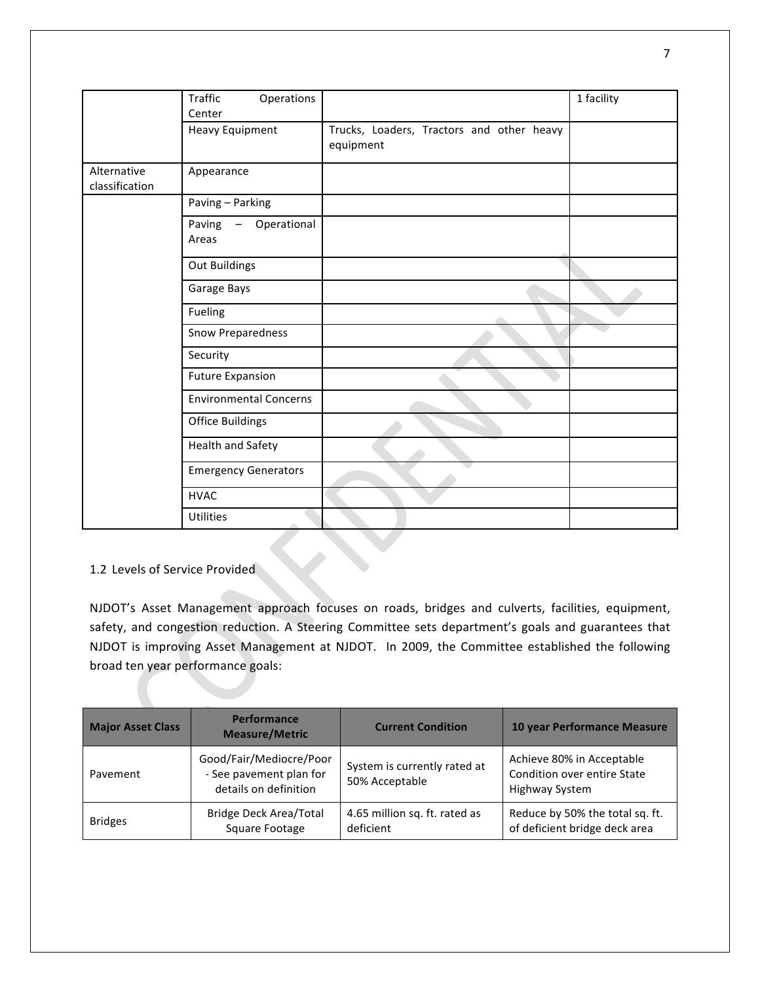|                               | Traffic<br>Operations<br>Center  |                                                        | 1 facility |
|-------------------------------|----------------------------------|--------------------------------------------------------|------------|
|                               | <b>Heavy Equipment</b>           | Trucks, Loaders, Tractors and other heavy<br>equipment |            |
| Alternative<br>classification | Appearance                       |                                                        |            |
|                               | Paving - Parking                 |                                                        |            |
|                               | - Operational<br>Paving<br>Areas |                                                        |            |
|                               | Out Buildings                    |                                                        |            |
|                               | Garage Bays                      |                                                        |            |
|                               | Fueling                          |                                                        |            |
|                               | Snow Preparedness                |                                                        |            |
|                               | Security                         |                                                        |            |
|                               | <b>Future Expansion</b>          |                                                        |            |
|                               | <b>Environmental Concerns</b>    |                                                        |            |
|                               | <b>Office Buildings</b>          |                                                        |            |
|                               | Health and Safety                |                                                        |            |
|                               | <b>Emergency Generators</b>      |                                                        |            |
|                               | <b>HVAC</b>                      |                                                        |            |
|                               | <b>Utilities</b>                 |                                                        |            |

## 1.2 Levels of Service Provided

NJDOT's Asset Management approach focuses on roads, bridges and culverts, facilities, equipment, safety, and congestion reduction. A Steering Committee sets department's goals and guarantees that NJDOT is improving Asset Management at NJDOT. In 2009, the Committee established the following broad ten year performance goals:

| <b>Major Asset Class</b> | <b>Performance</b><br><b>Measure/Metric</b>                                 | <b>Current Condition</b>                       | 10 year Performance Measure                                                |
|--------------------------|-----------------------------------------------------------------------------|------------------------------------------------|----------------------------------------------------------------------------|
| Pavement                 | Good/Fair/Mediocre/Poor<br>- See pavement plan for<br>details on definition | System is currently rated at<br>50% Acceptable | Achieve 80% in Acceptable<br>Condition over entire State<br>Highway System |
| <b>Bridges</b>           | <b>Bridge Deck Area/Total</b><br>Square Footage                             | 4.65 million sq. ft. rated as<br>deficient     | Reduce by 50% the total sq. ft.<br>of deficient bridge deck area           |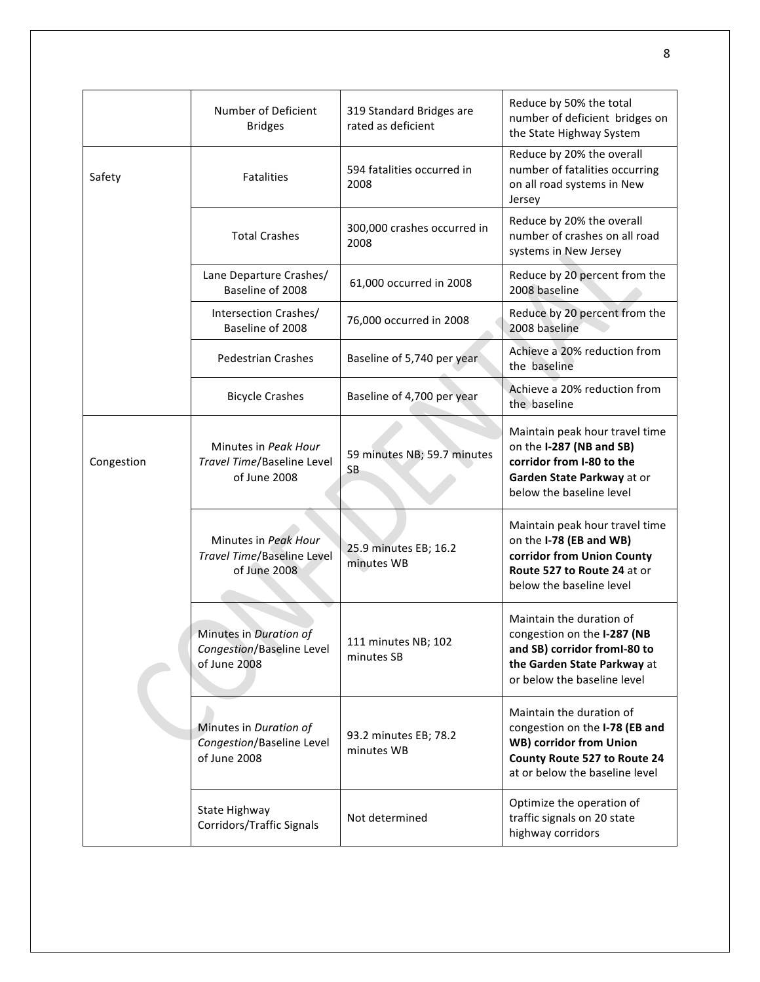|            | Number of Deficient<br><b>Bridges</b>                               | 319 Standard Bridges are<br>rated as deficient | Reduce by 50% the total<br>number of deficient bridges on<br>the State Highway System                                                                          |
|------------|---------------------------------------------------------------------|------------------------------------------------|----------------------------------------------------------------------------------------------------------------------------------------------------------------|
| Safety     | <b>Fatalities</b>                                                   | 594 fatalities occurred in<br>2008             | Reduce by 20% the overall<br>number of fatalities occurring<br>on all road systems in New<br>Jersey                                                            |
|            | <b>Total Crashes</b>                                                | 300,000 crashes occurred in<br>2008            | Reduce by 20% the overall<br>number of crashes on all road<br>systems in New Jersey                                                                            |
|            | Lane Departure Crashes/<br>Baseline of 2008                         | 61,000 occurred in 2008                        | Reduce by 20 percent from the<br>2008 baseline                                                                                                                 |
|            | Intersection Crashes/<br>Baseline of 2008                           | 76,000 occurred in 2008                        | Reduce by 20 percent from the<br>2008 baseline                                                                                                                 |
|            | <b>Pedestrian Crashes</b>                                           | Baseline of 5,740 per year                     | Achieve a 20% reduction from<br>the baseline                                                                                                                   |
|            | <b>Bicycle Crashes</b>                                              | Baseline of 4,700 per year                     | Achieve a 20% reduction from<br>the baseline                                                                                                                   |
| Congestion | Minutes in Peak Hour<br>Travel Time/Baseline Level<br>of June 2008  | 59 minutes NB; 59.7 minutes<br>SB              | Maintain peak hour travel time<br>on the I-287 (NB and SB)<br>corridor from I-80 to the<br>Garden State Parkway at or<br>below the baseline level              |
|            | Minutes in Peak Hour<br>Travel Time/Baseline Level<br>of June 2008  | 25.9 minutes EB; 16.2<br>minutes WB            | Maintain peak hour travel time<br>on the I-78 (EB and WB)<br>corridor from Union County<br>Route 527 to Route 24 at or<br>below the baseline level             |
|            | Minutes in Duration of<br>Congestion/Baseline Level<br>of June 2008 | 111 minutes NB; 102<br>minutes SB              | Maintain the duration of<br>congestion on the I-287 (NB<br>and SB) corridor fromI-80 to<br>the Garden State Parkway at<br>or below the baseline level          |
|            | Minutes in Duration of<br>Congestion/Baseline Level<br>of June 2008 | 93.2 minutes EB; 78.2<br>minutes WB            | Maintain the duration of<br>congestion on the I-78 (EB and<br><b>WB) corridor from Union</b><br>County Route 527 to Route 24<br>at or below the baseline level |
|            | State Highway<br><b>Corridors/Traffic Signals</b>                   | Not determined                                 | Optimize the operation of<br>traffic signals on 20 state<br>highway corridors                                                                                  |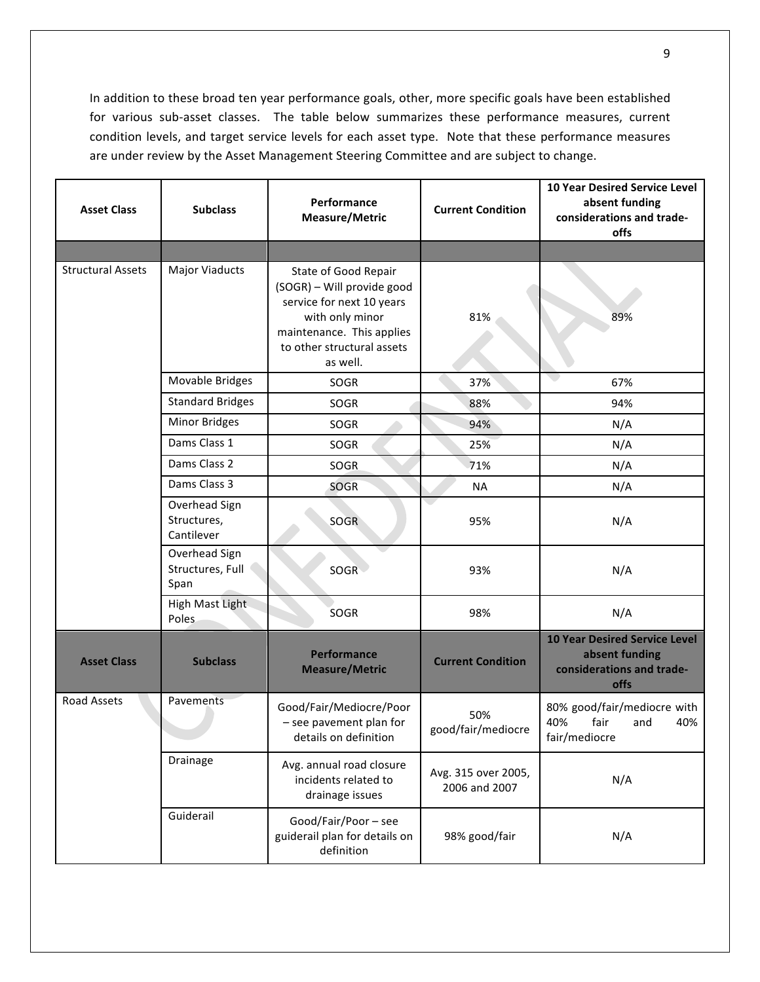In addition to these broad ten year performance goals, other, more specific goals have been established for various sub-asset classes. The table below summarizes these performance measures, current condition levels, and target service levels for each asset type. Note that these performance measures are under review by the Asset Management Steering Committee and are subject to change.

| <b>Asset Class</b>                                | <b>Subclass</b>                            | Performance<br>Measure/Metric                                                                                                                                             | <b>Current Condition</b>             | <b>10 Year Desired Service Level</b><br>absent funding<br>considerations and trade-<br>offs |
|---------------------------------------------------|--------------------------------------------|---------------------------------------------------------------------------------------------------------------------------------------------------------------------------|--------------------------------------|---------------------------------------------------------------------------------------------|
|                                                   |                                            |                                                                                                                                                                           |                                      |                                                                                             |
| <b>Structural Assets</b><br><b>Major Viaducts</b> |                                            | State of Good Repair<br>(SOGR) - Will provide good<br>service for next 10 years<br>with only minor<br>maintenance. This applies<br>to other structural assets<br>as well. | 81%                                  | 89%                                                                                         |
|                                                   | Movable Bridges                            | SOGR                                                                                                                                                                      | 37%                                  | 67%                                                                                         |
|                                                   | <b>Standard Bridges</b>                    | SOGR                                                                                                                                                                      | 88%                                  | 94%                                                                                         |
|                                                   | Minor Bridges                              | SOGR                                                                                                                                                                      | 94%                                  | N/A                                                                                         |
|                                                   | Dams Class 1                               | SOGR                                                                                                                                                                      | 25%                                  | N/A                                                                                         |
|                                                   | Dams Class 2                               | SOGR                                                                                                                                                                      | 71%                                  | N/A                                                                                         |
|                                                   | Dams Class 3                               | SOGR                                                                                                                                                                      | <b>NA</b>                            | N/A                                                                                         |
|                                                   | Overhead Sign<br>Structures,<br>Cantilever | SOGR                                                                                                                                                                      | 95%                                  | N/A                                                                                         |
|                                                   | Overhead Sign<br>Structures, Full<br>Span  | SOGR                                                                                                                                                                      | 93%                                  | N/A                                                                                         |
|                                                   | <b>High Mast Light</b><br>Poles            | SOGR                                                                                                                                                                      | 98%                                  | N/A                                                                                         |
| <b>Asset Class</b>                                | <b>Subclass</b>                            | <b>Performance</b><br><b>Measure/Metric</b>                                                                                                                               | <b>Current Condition</b>             | <b>10 Year Desired Service Level</b><br>absent funding<br>considerations and trade-<br>offs |
| <b>Road Assets</b>                                | Pavements                                  | Good/Fair/Mediocre/Poor<br>- see pavement plan for<br>details on definition                                                                                               | 50%<br>good/fair/mediocre            | 80% good/fair/mediocre with<br>fair<br>40%<br>40%<br>and<br>fair/mediocre                   |
|                                                   | Drainage                                   | Avg. annual road closure<br>incidents related to<br>drainage issues                                                                                                       | Avg. 315 over 2005,<br>2006 and 2007 | N/A                                                                                         |
|                                                   | Guiderail                                  | Good/Fair/Poor - see<br>guiderail plan for details on<br>definition                                                                                                       | 98% good/fair                        | N/A                                                                                         |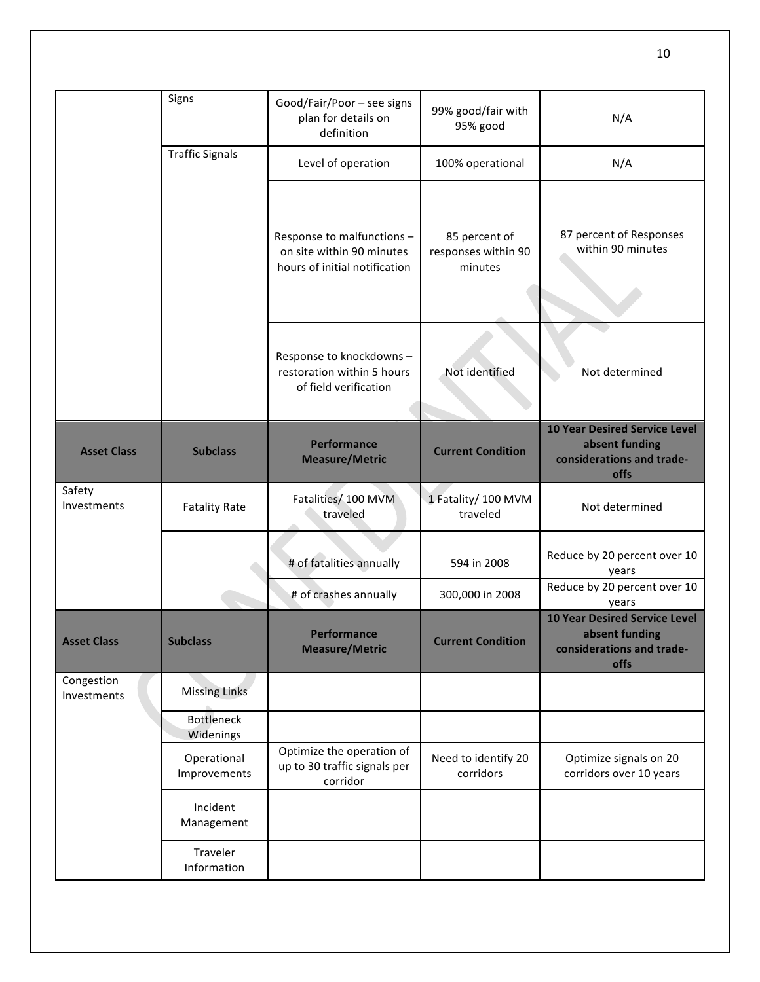|                           | Signs                          | Good/Fair/Poor - see signs<br>plan for details on<br>definition                          | 99% good/fair with<br>95% good                  | N/A                                                                                         |
|---------------------------|--------------------------------|------------------------------------------------------------------------------------------|-------------------------------------------------|---------------------------------------------------------------------------------------------|
|                           | <b>Traffic Signals</b>         | Level of operation                                                                       | 100% operational                                | N/A                                                                                         |
|                           |                                | Response to malfunctions -<br>on site within 90 minutes<br>hours of initial notification | 85 percent of<br>responses within 90<br>minutes | 87 percent of Responses<br>within 90 minutes                                                |
|                           |                                | Response to knockdowns -<br>restoration within 5 hours<br>of field verification          | Not identified                                  | Not determined                                                                              |
| <b>Asset Class</b>        | <b>Subclass</b>                | <b>Performance</b><br><b>Measure/Metric</b>                                              | <b>Current Condition</b>                        | <b>10 Year Desired Service Level</b><br>absent funding<br>considerations and trade-<br>offs |
| Safety<br>Investments     | <b>Fatality Rate</b>           | Fatalities/ 100 MVM<br>traveled                                                          | 1 Fatality/ 100 MVM<br>traveled                 | Not determined                                                                              |
|                           |                                | # of fatalities annually                                                                 | 594 in 2008                                     | Reduce by 20 percent over 10<br>years                                                       |
|                           |                                | # of crashes annually                                                                    | 300,000 in 2008                                 | Reduce by 20 percent over 10<br>years                                                       |
| <b>Asset Class</b>        | <b>Subclass</b>                | Pertormance<br><b>Measure/Metric</b>                                                     | <b>Current Condition</b>                        | <b>10 Year Desired Service Level</b><br>absent funding<br>considerations and trade-<br>offs |
| Congestion<br>Investments | <b>Missing Links</b>           |                                                                                          |                                                 |                                                                                             |
|                           | <b>Bottleneck</b><br>Widenings |                                                                                          |                                                 |                                                                                             |
|                           | Operational<br>Improvements    | Optimize the operation of<br>up to 30 traffic signals per<br>corridor                    | Need to identify 20<br>corridors                | Optimize signals on 20<br>corridors over 10 years                                           |
|                           | Incident<br>Management         |                                                                                          |                                                 |                                                                                             |
|                           | Traveler<br>Information        |                                                                                          |                                                 |                                                                                             |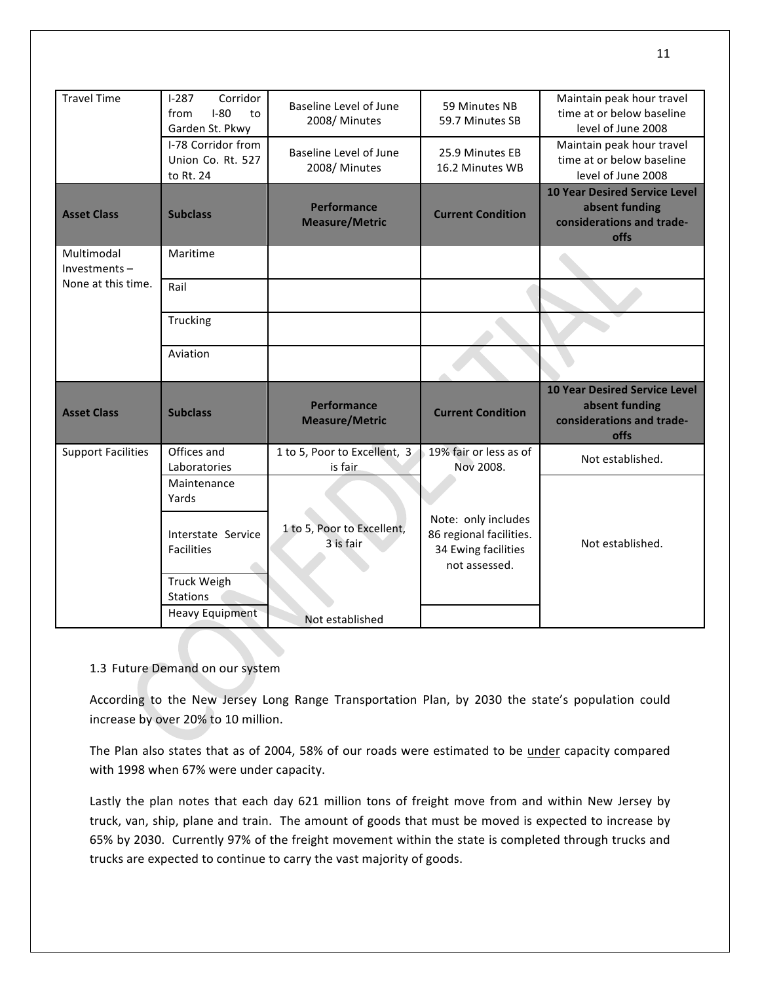| <b>Travel Time</b>            | $1-287$<br>Corridor<br>$I-80$<br>from<br>to<br>Garden St. Pkwy | Baseline Level of June<br>2008/Minutes      | 59 Minutes NB<br>59.7 Minutes SB                                                       | Maintain peak hour travel<br>time at or below baseline<br>level of June 2008                |
|-------------------------------|----------------------------------------------------------------|---------------------------------------------|----------------------------------------------------------------------------------------|---------------------------------------------------------------------------------------------|
|                               | I-78 Corridor from<br>Union Co. Rt. 527<br>to Rt. 24           | Baseline Level of June<br>2008/Minutes      | 25.9 Minutes EB<br>16.2 Minutes WB                                                     | Maintain peak hour travel<br>time at or below baseline<br>level of June 2008                |
| <b>Asset Class</b>            | <b>Subclass</b>                                                | <b>Performance</b><br><b>Measure/Metric</b> | <b>Current Condition</b>                                                               | <b>10 Year Desired Service Level</b><br>absent funding<br>considerations and trade-<br>offs |
| Multimodal<br>$Investments -$ | Maritime                                                       |                                             |                                                                                        |                                                                                             |
| None at this time.            | Rail                                                           |                                             |                                                                                        |                                                                                             |
|                               | Trucking                                                       |                                             |                                                                                        |                                                                                             |
|                               | Aviation                                                       |                                             |                                                                                        |                                                                                             |
| <b>Asset Class</b>            | <b>Subclass</b>                                                | <b>Performance</b><br><b>Measure/Metric</b> | <b>Current Condition</b>                                                               | <b>10 Year Desired Service Level</b><br>absent funding<br>considerations and trade-<br>offs |
| <b>Support Facilities</b>     | Offices and<br>Laboratories                                    | 1 to 5, Poor to Excellent, 3<br>is fair     | 19% fair or less as of<br>Nov 2008.                                                    | Not established.                                                                            |
|                               | Maintenance<br>Yards                                           |                                             |                                                                                        |                                                                                             |
|                               | Interstate Service<br><b>Facilities</b>                        | 1 to 5, Poor to Excellent,<br>3 is fair     | Note: only includes<br>86 regional facilities.<br>34 Ewing facilities<br>not assessed. | Not established.                                                                            |
|                               | <b>Truck Weigh</b><br><b>Stations</b>                          |                                             |                                                                                        |                                                                                             |
|                               | <b>Heavy Equipment</b>                                         | Not established                             |                                                                                        |                                                                                             |

### 1.3 Future Demand on our system

According to the New Jersey Long Range Transportation Plan, by 2030 the state's population could increase by over 20% to 10 million.

The Plan also states that as of 2004, 58% of our roads were estimated to be under capacity compared with 1998 when 67% were under capacity.

Lastly the plan notes that each day 621 million tons of freight move from and within New Jersey by truck, van, ship, plane and train. The amount of goods that must be moved is expected to increase by 65% by 2030. Currently 97% of the freight movement within the state is completed through trucks and trucks are expected to continue to carry the vast majority of goods.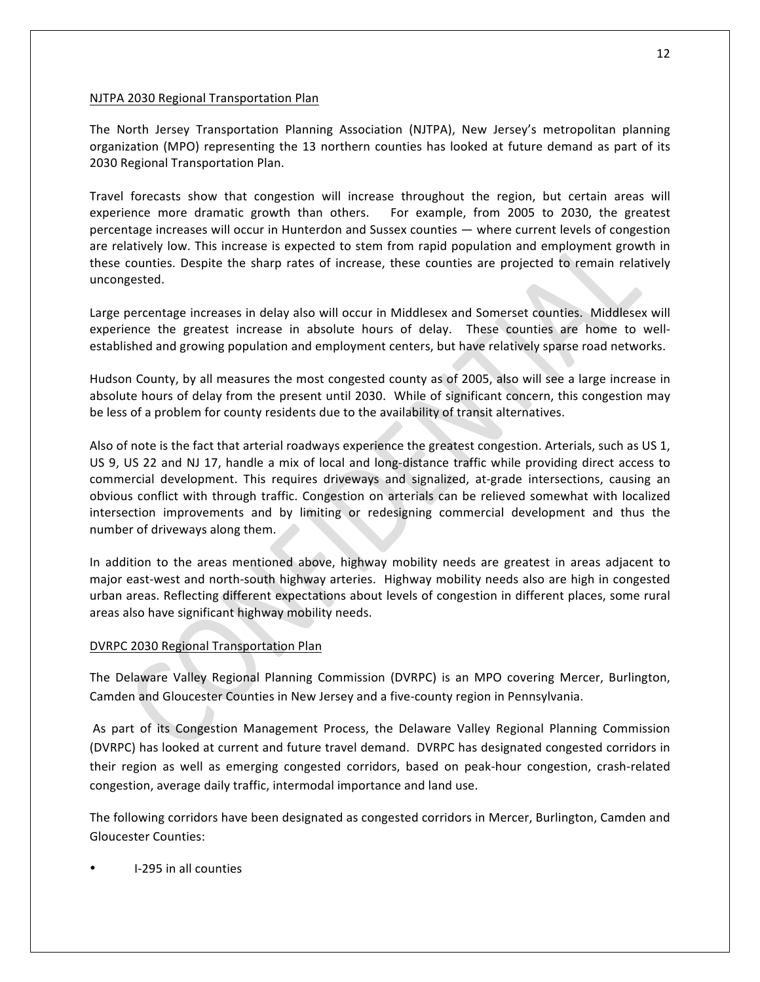### NJTPA 2030 Regional Transportation Plan

The North Jersey Transportation Planning Association (NJTPA), New Jersey's metropolitan planning organization (MPO) representing the 13 northern counties has looked at future demand as part of its 2030 Regional Transportation Plan.

Travel forecasts show that congestion will increase throughout the region, but certain areas will experience more dramatic growth than others. For example, from 2005 to 2030, the greatest percentage increases will occur in Hunterdon and Sussex counties — where current levels of congestion are relatively low. This increase is expected to stem from rapid population and employment growth in these counties. Despite the sharp rates of increase, these counties are projected to remain relatively uncongested.

Large percentage increases in delay also will occur in Middlesex and Somerset counties. Middlesex will experience the greatest increase in absolute hours of delay. These counties are home to wellestablished and growing population and employment centers, but have relatively sparse road networks.

Hudson County, by all measures the most congested county as of 2005, also will see a large increase in absolute hours of delay from the present until 2030. While of significant concern, this congestion may be less of a problem for county residents due to the availability of transit alternatives.

Also of note is the fact that arterial roadways experience the greatest congestion. Arterials, such as US 1, US 9, US 22 and NJ 17, handle a mix of local and long-distance traffic while providing direct access to commercial development. This requires driveways and signalized, at-grade intersections, causing an obvious conflict with through traffic. Congestion on arterials can be relieved somewhat with localized intersection improvements and by limiting or redesigning commercial development and thus the number of driveways along them.

In addition to the areas mentioned above, highway mobility needs are greatest in areas adjacent to major east-west and north-south highway arteries. Highway mobility needs also are high in congested urban areas. Reflecting different expectations about levels of congestion in different places, some rural areas also have significant highway mobility needs.

### DVRPC 2030 Regional Transportation Plan

The Delaware Valley Regional Planning Commission (DVRPC) is an MPO covering Mercer, Burlington, Camden and Gloucester Counties in New Jersey and a five-county region in Pennsylvania.

As part of its Congestion Management Process, the Delaware Valley Regional Planning Commission (DVRPC) has looked at current and future travel demand. DVRPC has designated congested corridors in their region as well as emerging congested corridors, based on peak-hour congestion, crash-related congestion, average daily traffic, intermodal importance and land use.

The following corridors have been designated as congested corridors in Mercer, Burlington, Camden and Gloucester Counties:

I-295 in all counties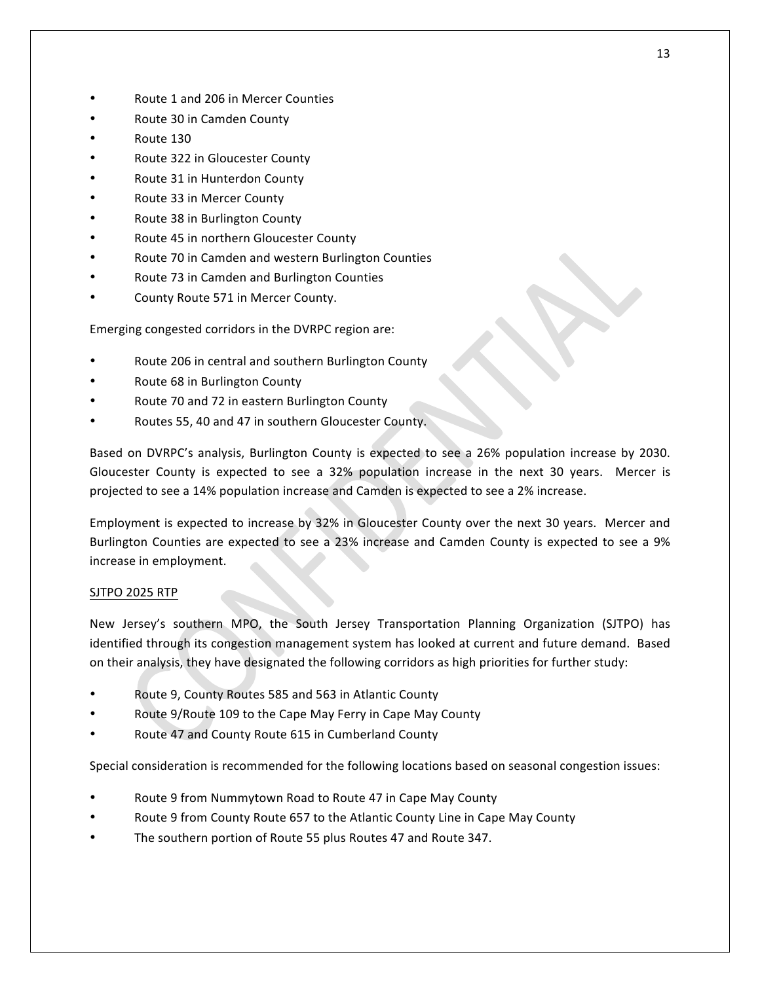- Route 1 and 206 in Mercer Counties
- Route 30 in Camden County
- Route 130
- Route 322 in Gloucester County
- Route 31 in Hunterdon County
- Route 33 in Mercer County
- Route 38 in Burlington County
- Route 45 in northern Gloucester County
- Route 70 in Camden and western Burlington Counties
- Route 73 in Camden and Burlington Counties
- County Route 571 in Mercer County.

Emerging congested corridors in the DVRPC region are:

- Route 206 in central and southern Burlington County
- Route 68 in Burlington County
- Route 70 and 72 in eastern Burlington County
- Routes 55, 40 and 47 in southern Gloucester County.

Based on DVRPC's analysis, Burlington County is expected to see a 26% population increase by 2030. Gloucester County is expected to see a 32% population increase in the next 30 years. Mercer is projected to see a 14% population increase and Camden is expected to see a 2% increase.

Employment is expected to increase by 32% in Gloucester County over the next 30 years. Mercer and Burlington Counties are expected to see a 23% increase and Camden County is expected to see a 9% increase in employment.

## SJTPO 2025 RTP

New Jersey's southern MPO, the South Jersey Transportation Planning Organization (SJTPO) has identified through its congestion management system has looked at current and future demand. Based on their analysis, they have designated the following corridors as high priorities for further study:

- Route 9, County Routes 585 and 563 in Atlantic County
- Route 9/Route 109 to the Cape May Ferry in Cape May County
- Route 47 and County Route 615 in Cumberland County

Special consideration is recommended for the following locations based on seasonal congestion issues:

- Route 9 from Nummytown Road to Route 47 in Cape May County
- Route 9 from County Route 657 to the Atlantic County Line in Cape May County
- The southern portion of Route 55 plus Routes 47 and Route 347.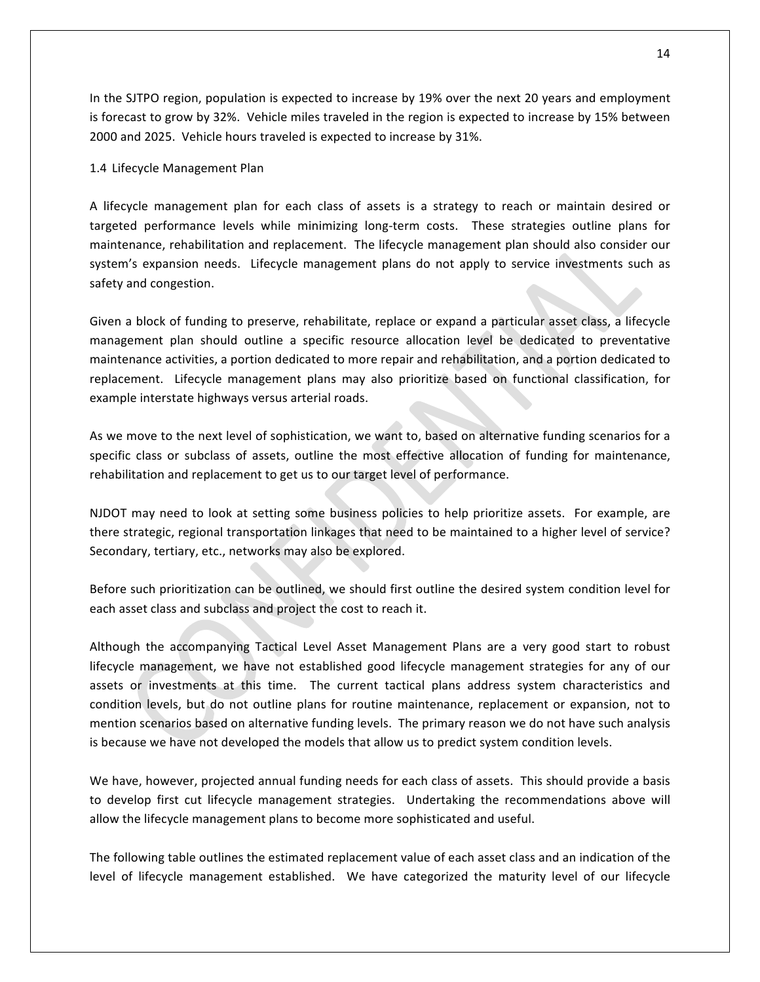In the SJTPO region, population is expected to increase by 19% over the next 20 years and employment is forecast to grow by 32%. Vehicle miles traveled in the region is expected to increase by 15% between 2000 and 2025. Vehicle hours traveled is expected to increase by 31%.

#### 1.4 Lifecycle Management Plan

A lifecycle management plan for each class of assets is a strategy to reach or maintain desired or targeted performance levels while minimizing long-term costs. These strategies outline plans for maintenance, rehabilitation and replacement. The lifecycle management plan should also consider our system's expansion needs. Lifecycle management plans do not apply to service investments such as safety and congestion.

Given a block of funding to preserve, rehabilitate, replace or expand a particular asset class, a lifecycle management plan should outline a specific resource allocation level be dedicated to preventative maintenance activities, a portion dedicated to more repair and rehabilitation, and a portion dedicated to replacement. Lifecycle management plans may also prioritize based on functional classification, for example interstate highways versus arterial roads.

As we move to the next level of sophistication, we want to, based on alternative funding scenarios for a specific class or subclass of assets, outline the most effective allocation of funding for maintenance, rehabilitation and replacement to get us to our target level of performance.

NJDOT may need to look at setting some business policies to help prioritize assets. For example, are there strategic, regional transportation linkages that need to be maintained to a higher level of service? Secondary, tertiary, etc., networks may also be explored.

Before such prioritization can be outlined, we should first outline the desired system condition level for each asset class and subclass and project the cost to reach it.

Although the accompanying Tactical Level Asset Management Plans are a very good start to robust lifecycle management, we have not established good lifecycle management strategies for any of our assets or investments at this time. The current tactical plans address system characteristics and condition levels, but do not outline plans for routine maintenance, replacement or expansion, not to mention scenarios based on alternative funding levels. The primary reason we do not have such analysis is because we have not developed the models that allow us to predict system condition levels.

We have, however, projected annual funding needs for each class of assets. This should provide a basis to develop first cut lifecycle management strategies. Undertaking the recommendations above will allow the lifecycle management plans to become more sophisticated and useful.

The following table outlines the estimated replacement value of each asset class and an indication of the level of lifecycle management established. We have categorized the maturity level of our lifecycle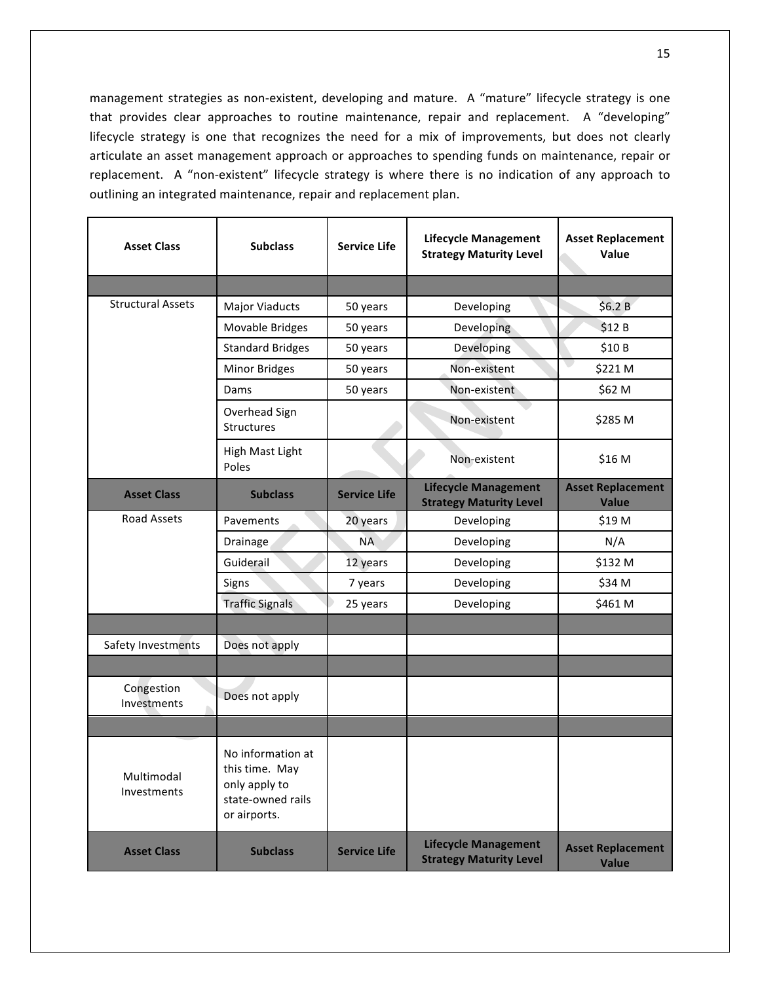management strategies as non-existent, developing and mature. A "mature" lifecycle strategy is one that provides clear approaches to routine maintenance, repair and replacement. A "developing" lifecycle strategy is one that recognizes the need for a mix of improvements, but does not clearly articulate an asset management approach or approaches to spending funds on maintenance, repair or replacement. A "non-existent" lifecycle strategy is where there is no indication of any approach to outlining an integrated maintenance, repair and replacement plan.

| <b>Asset Class</b>        | <b>Subclass</b>                                                                           | <b>Service Life</b> | <b>Lifecycle Management</b><br><b>Strategy Maturity Level</b> | <b>Asset Replacement</b><br>Value        |
|---------------------------|-------------------------------------------------------------------------------------------|---------------------|---------------------------------------------------------------|------------------------------------------|
|                           |                                                                                           |                     |                                                               |                                          |
| <b>Structural Assets</b>  | <b>Major Viaducts</b>                                                                     | 50 years            | Developing                                                    | \$6.2 B                                  |
|                           | Movable Bridges                                                                           | 50 years            | Developing                                                    | \$12B                                    |
|                           | <b>Standard Bridges</b>                                                                   | 50 years            | Developing                                                    | \$10B                                    |
|                           | <b>Minor Bridges</b>                                                                      | 50 years            | Non-existent                                                  | \$221 M                                  |
|                           | Dams                                                                                      | 50 years            | Non-existent                                                  | \$62 M                                   |
|                           | Overhead Sign<br>Structures                                                               |                     | Non-existent                                                  | \$285 M                                  |
|                           | High Mast Light<br>Poles                                                                  |                     | Non-existent                                                  | \$16 M                                   |
| <b>Asset Class</b>        | <b>Subclass</b>                                                                           | <b>Service Life</b> | <b>Lifecycle Management</b><br><b>Strategy Maturity Level</b> | <b>Asset Replacement</b><br><b>Value</b> |
| Road Assets               | Pavements                                                                                 | 20 years            | Developing                                                    | \$19 M                                   |
|                           | Drainage                                                                                  | <b>NA</b>           | Developing                                                    | N/A                                      |
|                           | Guiderail                                                                                 | 12 years            | Developing                                                    | \$132 M                                  |
|                           | Signs                                                                                     | 7 years             | Developing                                                    | \$34 M                                   |
|                           | <b>Traffic Signals</b>                                                                    | 25 years            | Developing                                                    | \$461 M                                  |
|                           |                                                                                           |                     |                                                               |                                          |
| Safety Investments        | Does not apply                                                                            |                     |                                                               |                                          |
|                           |                                                                                           |                     |                                                               |                                          |
| Congestion<br>Investments | Does not apply                                                                            |                     |                                                               |                                          |
|                           |                                                                                           |                     |                                                               |                                          |
| Multimodal<br>Investments | No information at<br>this time. May<br>only apply to<br>state-owned rails<br>or airports. |                     |                                                               |                                          |
| <b>Asset Class</b>        | <b>Subclass</b>                                                                           | <b>Service Life</b> | <b>Lifecycle Management</b><br><b>Strategy Maturity Level</b> | <b>Asset Replacement</b><br><b>Value</b> |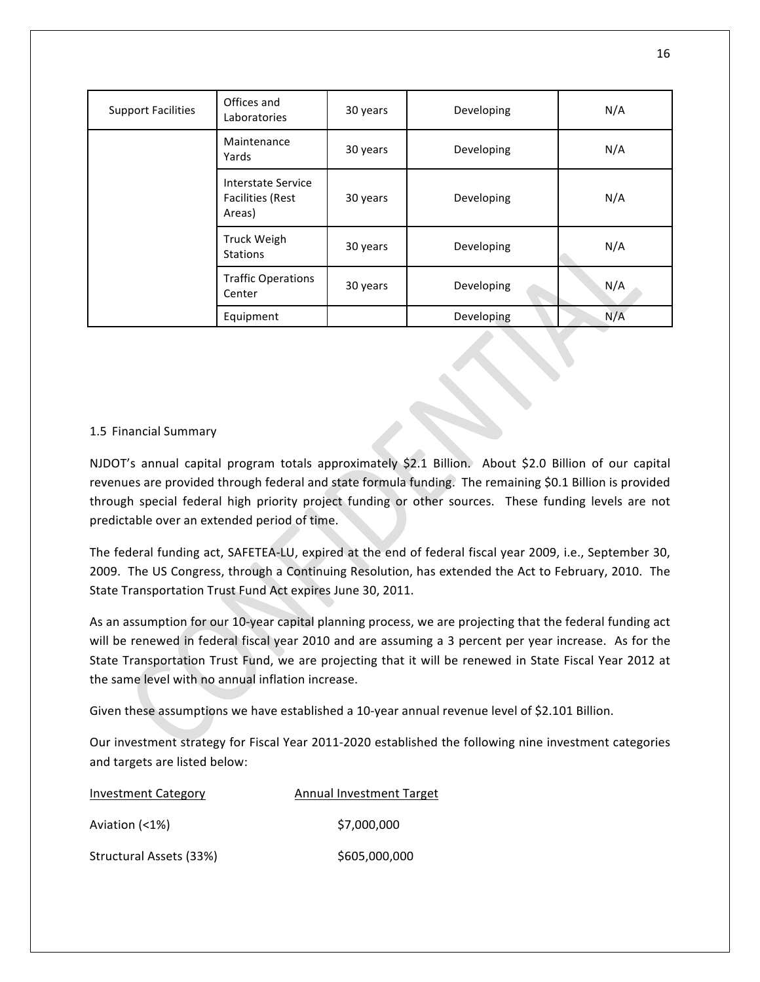| <b>Support Facilities</b> | Offices and<br>Laboratories                             | 30 years | Developing | N/A |
|---------------------------|---------------------------------------------------------|----------|------------|-----|
|                           | Maintenance<br>Yards                                    | 30 years | Developing | N/A |
|                           | Interstate Service<br><b>Facilities (Rest</b><br>Areas) | 30 years | Developing | N/A |
|                           | <b>Truck Weigh</b><br><b>Stations</b>                   | 30 years | Developing | N/A |
|                           | <b>Traffic Operations</b><br>Center                     | 30 years | Developing | N/A |
|                           | Equipment                                               |          | Developing | N/A |

### 1.5 Financial Summary

NJDOT's annual capital program totals approximately \$2.1 Billion. About \$2.0 Billion of our capital revenues are provided through federal and state formula funding. The remaining \$0.1 Billion is provided through special federal high priority project funding or other sources. These funding levels are not predictable over an extended period of time.

The federal funding act, SAFETEA-LU, expired at the end of federal fiscal year 2009, i.e., September 30, 2009. The US Congress, through a Continuing Resolution, has extended the Act to February, 2010. The State Transportation Trust Fund Act expires June 30, 2011.

As an assumption for our 10-year capital planning process, we are projecting that the federal funding act will be renewed in federal fiscal year 2010 and are assuming a 3 percent per year increase. As for the State Transportation Trust Fund, we are projecting that it will be renewed in State Fiscal Year 2012 at the same level with no annual inflation increase.

Given these assumptions we have established a 10-year annual revenue level of \$2.101 Billion.

Our investment strategy for Fiscal Year 2011-2020 established the following nine investment categories and targets are listed below:

| <b>Investment Category</b> | <b>Annual Investment Target</b> |
|----------------------------|---------------------------------|
| Aviation (<1%)             | \$7,000,000                     |
| Structural Assets (33%)    | \$605,000,000                   |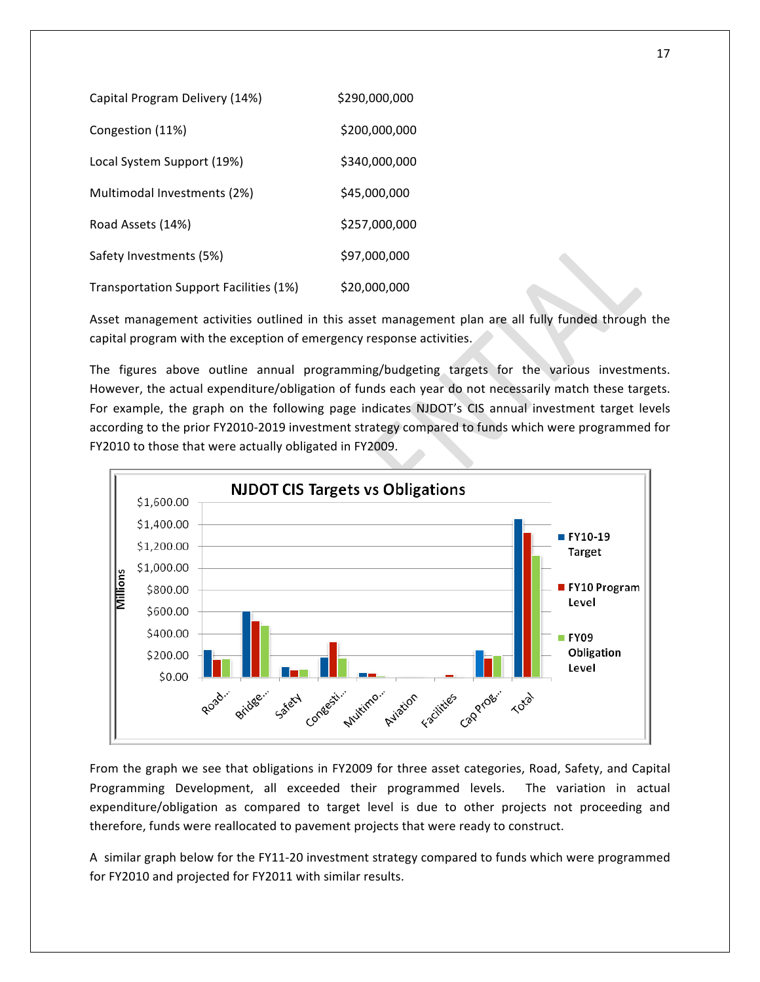| Capital Program Delivery (14%)         | \$290,000,000 |
|----------------------------------------|---------------|
| Congestion (11%)                       | \$200,000.000 |
| Local System Support (19%)             | \$340,000,000 |
| Multimodal Investments (2%)            | \$45,000,000  |
| Road Assets (14%)                      | \$257,000,000 |
| Safety Investments (5%)                | \$97.000.000  |
| Transportation Support Facilities (1%) | \$20,000,000  |

Asset management activities outlined in this asset management plan are all fully funded through the capital program with the exception of emergency response activities.

The figures above outline annual programming/budgeting targets for the various investments. However, the actual expenditure/obligation of funds each year do not necessarily match these targets. For example, the graph on the following page indicates NJDOT's CIS annual investment target levels according to the prior FY2010-2019 investment strategy compared to funds which were programmed for FY2010 to those that were actually obligated in FY2009.



From the graph we see that obligations in FY2009 for three asset categories, Road, Safety, and Capital Programming Development, all exceeded their programmed levels. The variation in actual expenditure/obligation as compared to target level is due to other projects not proceeding and therefore, funds were reallocated to pavement projects that were ready to construct.

A similar graph below for the FY11-20 investment strategy compared to funds which were programmed for FY2010 and projected for FY2011 with similar results.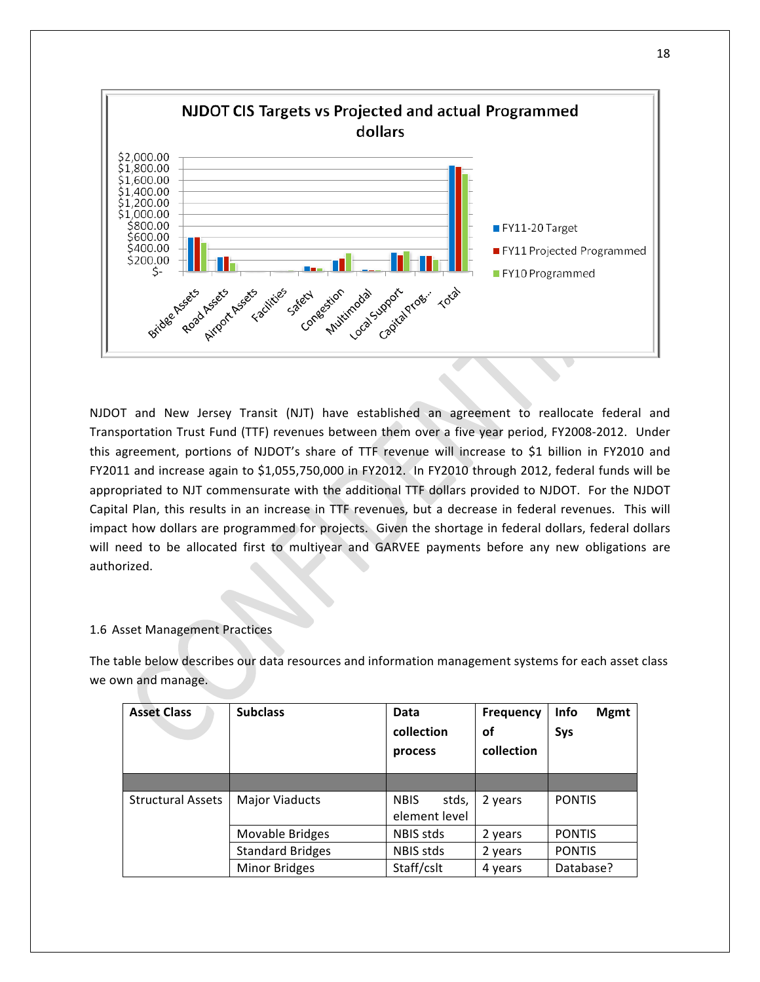

NJDOT and New Jersey Transit (NJT) have established an agreement to reallocate federal and Transportation Trust Fund (TTF) revenues between them over a five year period, FY2008-2012. Under this agreement, portions of NJDOT's share of TTF revenue will increase to \$1 billion in FY2010 and FY2011 and increase again to \$1,055,750,000 in FY2012. In FY2010 through 2012, federal funds will be appropriated to NJT commensurate with the additional TTF dollars provided to NJDOT. For the NJDOT Capital Plan, this results in an increase in TTF revenues, but a decrease in federal revenues. This will impact how dollars are programmed for projects. Given the shortage in federal dollars, federal dollars will need to be allocated first to multiyear and GARVEE payments before any new obligations are authorized.

### 1.6 Asset Management Practices

The table below describes our data resources and information management systems for each asset class we own and manage.

| <b>Asset Class</b>       | <b>Subclass</b>                      | Data<br>collection<br>process         | <b>Frequency</b><br>оf<br>collection | <b>Info</b><br><b>Mgmt</b><br>Sys |
|--------------------------|--------------------------------------|---------------------------------------|--------------------------------------|-----------------------------------|
|                          |                                      |                                       |                                      |                                   |
| <b>Structural Assets</b> | <b>Major Viaducts</b>                | <b>NBIS</b><br>stds,<br>element level | 2 years                              | <b>PONTIS</b>                     |
|                          | Movable Bridges                      | NBIS stds                             | 2 years                              | <b>PONTIS</b>                     |
|                          | <b>Standard Bridges</b><br>NBIS stds |                                       | 2 years                              | <b>PONTIS</b>                     |
|                          | Minor Bridges                        | Staff/cslt                            | 4 years                              | Database?                         |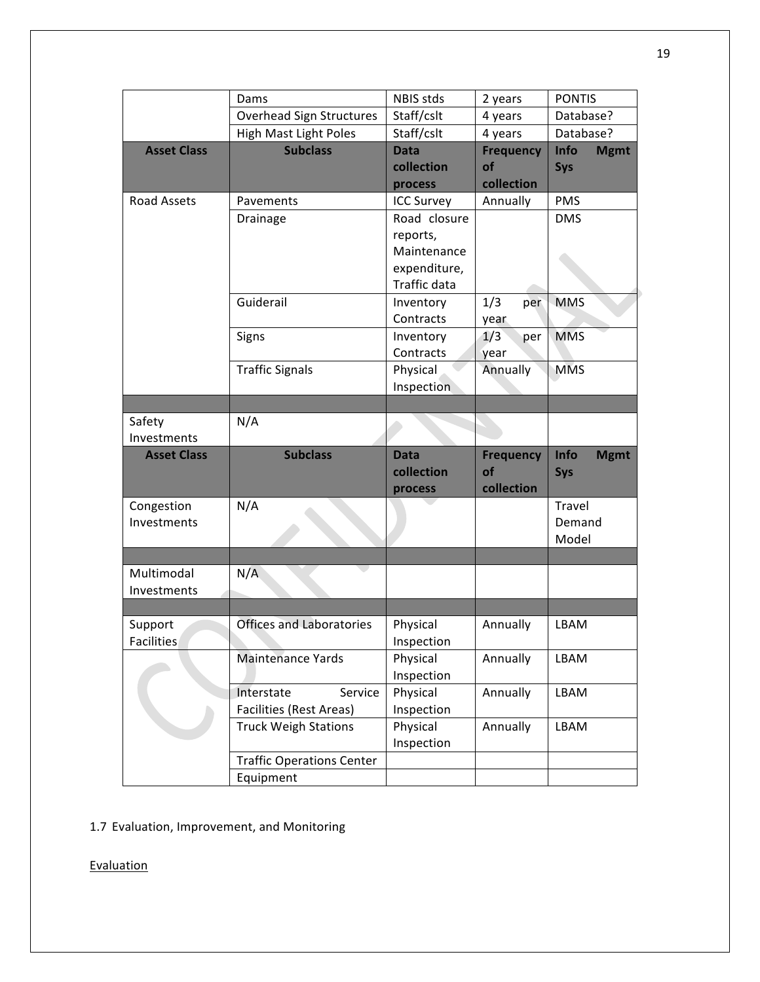|                    | Dams                                          | NBIS stds    | 2 years                | <b>PONTIS</b>       |  |
|--------------------|-----------------------------------------------|--------------|------------------------|---------------------|--|
|                    | Overhead Sign Structures                      | Staff/cslt   | 4 years                | Database?           |  |
|                    | <b>High Mast Light Poles</b>                  | Staff/cslt   | 4 years                | Database?           |  |
| <b>Asset Class</b> | <b>Subclass</b>                               | <b>Data</b>  | <b>Frequency</b>       | Info<br><b>Mgmt</b> |  |
|                    |                                               | collection   | of                     | Sys                 |  |
|                    |                                               | process      | collection             |                     |  |
| Road Assets        | Pavements                                     |              | Annually               | <b>PMS</b>          |  |
|                    | Drainage                                      | Road closure |                        | <b>DMS</b>          |  |
|                    |                                               | reports,     |                        |                     |  |
|                    |                                               | Maintenance  |                        |                     |  |
|                    |                                               | expenditure, |                        |                     |  |
|                    |                                               | Traffic data |                        |                     |  |
|                    | Guiderail                                     | Inventory    | 1/3<br>per             | <b>MMS</b>          |  |
|                    |                                               | Contracts    | year                   |                     |  |
|                    | Signs                                         | Inventory    | 1/3<br>per             | <b>MMS</b>          |  |
|                    |                                               | Contracts    | year                   |                     |  |
|                    | <b>Traffic Signals</b>                        | Physical     | Annually               | <b>MMS</b>          |  |
|                    |                                               | Inspection   |                        |                     |  |
|                    |                                               |              |                        |                     |  |
| Safety             | N/A                                           |              |                        |                     |  |
| Investments        |                                               |              |                        |                     |  |
|                    |                                               |              |                        |                     |  |
| <b>Asset Class</b> | <b>Subclass</b>                               | <b>Data</b>  |                        | Info                |  |
|                    |                                               | collection   | <b>Frequency</b><br>of | <b>Mgmt</b>         |  |
|                    |                                               | process      | collection             | Sys                 |  |
|                    |                                               |              |                        | Travel              |  |
| Congestion         | N/A                                           |              |                        | Demand              |  |
| Investments        |                                               |              |                        | Model               |  |
|                    |                                               |              |                        |                     |  |
| Multimodal         |                                               |              |                        |                     |  |
| Investments        | N/A                                           |              |                        |                     |  |
|                    |                                               |              |                        |                     |  |
|                    |                                               |              |                        |                     |  |
| Support            | <b>Offices and Laboratories</b>               | Physical     | Annually               | LBAM                |  |
| Facilities         |                                               | Inspection   |                        |                     |  |
|                    | <b>Maintenance Yards</b>                      | Physical     | Annually               | LBAM                |  |
|                    |                                               | Inspection   |                        |                     |  |
|                    | Interstate<br>Service                         | Physical     | Annually               | LBAM                |  |
|                    | Facilities (Rest Areas)                       | Inspection   |                        |                     |  |
|                    | <b>Truck Weigh Stations</b>                   | Physical     | Annually               | LBAM                |  |
|                    |                                               | Inspection   |                        |                     |  |
|                    | <b>Traffic Operations Center</b><br>Equipment |              |                        |                     |  |

1.7 Evaluation, Improvement, and Monitoring

**Evaluation**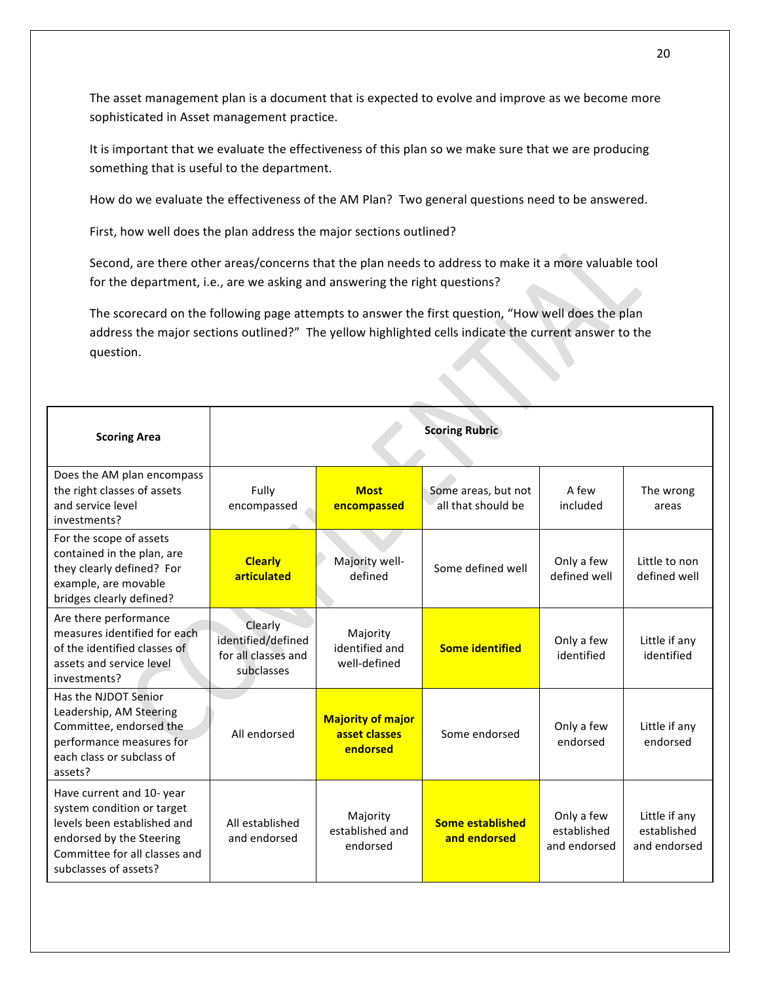The asset management plan is a document that is expected to evolve and improve as we become more sophisticated in Asset management practice.

It is important that we evaluate the effectiveness of this plan so we make sure that we are producing something that is useful to the department.

How do we evaluate the effectiveness of the AM Plan? Two general questions need to be answered.

First, how well does the plan address the major sections outlined?

Second, are there other areas/concerns that the plan needs to address to make it a more valuable tool for the department, i.e., are we asking and answering the right questions?

The scorecard on the following page attempts to answer the first question, "How well does the plan address the major sections outlined?" The yellow highlighted cells indicate the current answer to the question.

| <b>Scoring Area</b>                                                                                                                                                         | <b>Scoring Rubric</b>                                              |                                                       |                                           |                                           |                                              |
|-----------------------------------------------------------------------------------------------------------------------------------------------------------------------------|--------------------------------------------------------------------|-------------------------------------------------------|-------------------------------------------|-------------------------------------------|----------------------------------------------|
| Does the AM plan encompass<br>the right classes of assets<br>and service level<br>investments?                                                                              | Fully<br>encompassed                                               | <b>Most</b><br>encompassed                            | Some areas, but not<br>all that should be | A few<br>included                         | The wrong<br>areas                           |
| For the scope of assets<br>contained in the plan, are<br>they clearly defined? For<br>example, are movable<br>bridges clearly defined?                                      | <b>Clearly</b><br>articulated                                      | Majority well-<br>defined                             | Some defined well                         | Only a few<br>defined well                | Little to non<br>defined well                |
| Are there performance<br>measures identified for each<br>of the identified classes of<br>assets and service level<br>investments?                                           | Clearly<br>identified/defined<br>for all classes and<br>subclasses | Majority<br>identified and<br>well-defined            | <b>Some identified</b>                    | Only a few<br>identified                  | Little if any<br>identified                  |
| Has the NJDOT Senior<br>Leadership, AM Steering<br>Committee, endorsed the<br>performance measures for<br>each class or subclass of<br>assets?                              | All endorsed                                                       | <b>Majority of major</b><br>asset classes<br>endorsed | Some endorsed                             | Only a few<br>endorsed                    | Little if any<br>endorsed                    |
| Have current and 10-year<br>system condition or target<br>levels been established and<br>endorsed by the Steering<br>Committee for all classes and<br>subclasses of assets? | All established<br>and endorsed                                    | Majority<br>established and<br>endorsed               | <b>Some established</b><br>and endorsed   | Only a few<br>established<br>and endorsed | Little if any<br>established<br>and endorsed |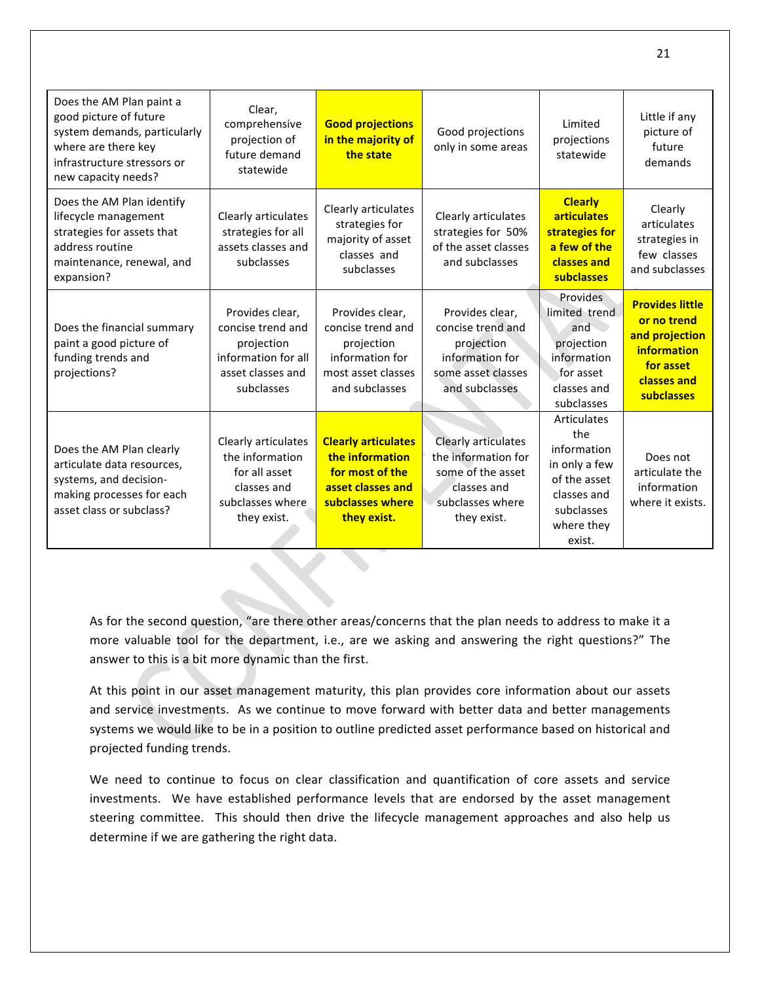| Does the AM Plan paint a<br>good picture of future<br>system demands, particularly<br>where are there key<br>infrastructure stressors or<br>new capacity needs? | Clear,<br>comprehensive<br>projection of<br>future demand<br>statewide                                       | <b>Good projections</b><br>in the majority of<br>the state                                                               | Good projections<br>only in some areas                                                                                   | Limited<br>projections<br>statewide                                                                                     | Little if any<br>picture of<br>future<br>demands                                                                 |
|-----------------------------------------------------------------------------------------------------------------------------------------------------------------|--------------------------------------------------------------------------------------------------------------|--------------------------------------------------------------------------------------------------------------------------|--------------------------------------------------------------------------------------------------------------------------|-------------------------------------------------------------------------------------------------------------------------|------------------------------------------------------------------------------------------------------------------|
| Does the AM Plan identify<br>lifecycle management<br>strategies for assets that<br>address routine<br>maintenance, renewal, and<br>expansion?                   | Clearly articulates<br>strategies for all<br>assets classes and<br>subclasses                                | Clearly articulates<br>strategies for<br>majority of asset<br>classes and<br>subclasses                                  | Clearly articulates<br>strategies for 50%<br>of the asset classes<br>and subclasses                                      | <b>Clearly</b><br><b>articulates</b><br>strategies for<br>a few of the<br>classes and<br>subclasses                     | Clearly<br>articulates<br>strategies in<br>few classes<br>and subclasses                                         |
| Does the financial summary<br>paint a good picture of<br>funding trends and<br>projections?                                                                     | Provides clear,<br>concise trend and<br>projection<br>information for all<br>asset classes and<br>subclasses | Provides clear,<br>concise trend and<br>projection<br>information for<br>most asset classes<br>and subclasses            | Provides clear,<br>concise trend and<br>projection<br>information for<br>some asset classes<br>and subclasses            | <b>Provides</b><br>limited trend<br>and<br>projection<br>information<br>for asset<br>classes and<br>subclasses          | <b>Provides little</b><br>or no trend<br>and projection<br>information<br>for asset<br>classes and<br>subclasses |
| Does the AM Plan clearly<br>articulate data resources,<br>systems, and decision-<br>making processes for each<br>asset class or subclass?                       | Clearly articulates<br>the information<br>for all asset<br>classes and<br>subclasses where<br>they exist.    | <b>Clearly articulates</b><br>the information<br>for most of the<br>asset classes and<br>subclasses where<br>they exist. | <b>Clearly articulates</b><br>the information for<br>some of the asset<br>classes and<br>subclasses where<br>they exist. | Articulates<br>the<br>information<br>in only a few<br>of the asset<br>classes and<br>subclasses<br>where they<br>exist. | Does not<br>articulate the<br>information<br>where it exists.                                                    |

As for the second question, "are there other areas/concerns that the plan needs to address to make it a more valuable tool for the department, i.e., are we asking and answering the right questions?" The answer to this is a bit more dynamic than the first.

At this point in our asset management maturity, this plan provides core information about our assets and service investments. As we continue to move forward with better data and better managements systems we would like to be in a position to outline predicted asset performance based on historical and projected funding trends.

We need to continue to focus on clear classification and quantification of core assets and service investments. We have established performance levels that are endorsed by the asset management steering committee. This should then drive the lifecycle management approaches and also help us determine if we are gathering the right data.